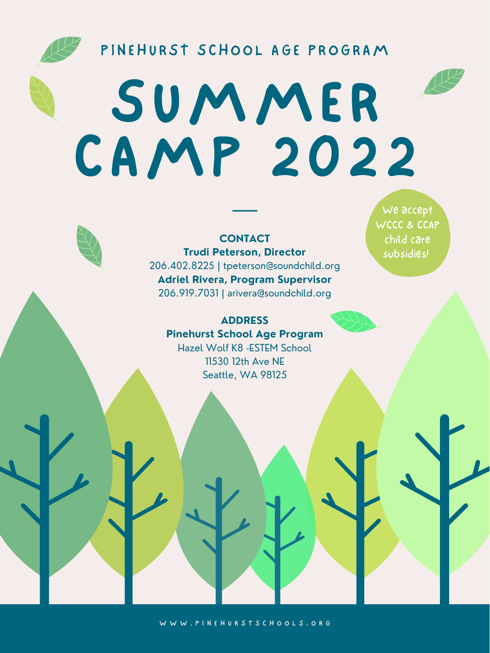



**CONTACT Trudi Peterson, Director** 206.402.8225 | tpeterson@soundchild.org **Adriel Rivera, Program Supervisor** 206.919.7031 | arivera@soundchild.org

**ADDRESS Pinehurst School Age Program**

Hazel Wolf K8 -ESTEM School 11530 12th Ave NE Seattle, WA 98125

W W W . P I N E H U R S T S C H O O L S . O R G

We accept WCCC & CCAP child care subsidies!